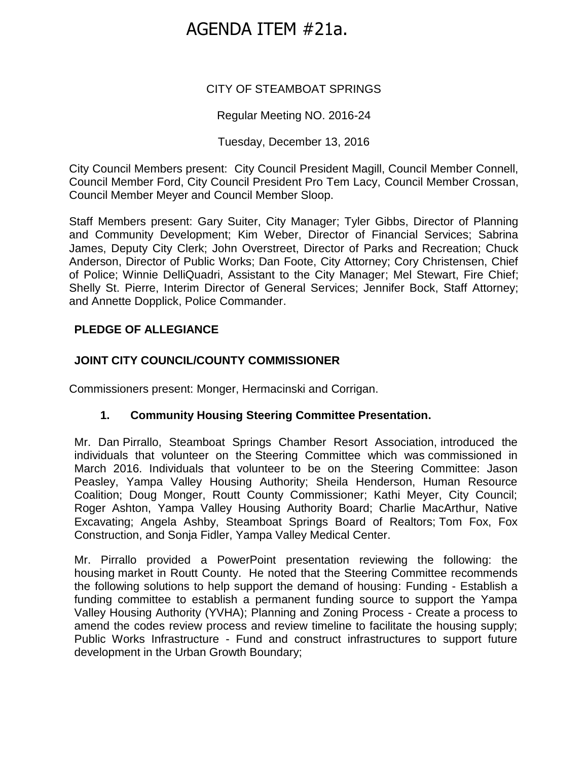# AGENDA ITEM #21a.

# CITY OF STEAMBOAT SPRINGS

# Regular Meeting NO. 2016-24

## Tuesday, December 13, 2016

City Council Members present: City Council President Magill, Council Member Connell, Council Member Ford, City Council President Pro Tem Lacy, Council Member Crossan, Council Member Meyer and Council Member Sloop.

Staff Members present: Gary Suiter, City Manager; Tyler Gibbs, Director of Planning and Community Development; Kim Weber, Director of Financial Services; Sabrina James, Deputy City Clerk; John Overstreet, Director of Parks and Recreation; Chuck Anderson, Director of Public Works; Dan Foote, City Attorney; Cory Christensen, Chief of Police; Winnie DelliQuadri, Assistant to the City Manager; Mel Stewart, Fire Chief; Shelly St. Pierre, Interim Director of General Services; Jennifer Bock, Staff Attorney; and Annette Dopplick, Police Commander.

# **PLEDGE OF ALLEGIANCE**

# **JOINT CITY COUNCIL/COUNTY COMMISSIONER**

Commissioners present: Monger, Hermacinski and Corrigan.

## **1. Community Housing Steering Committee Presentation.**

Mr. Dan Pirrallo, Steamboat Springs Chamber Resort Association, introduced the individuals that volunteer on the Steering Committee which was commissioned in March 2016. Individuals that volunteer to be on the Steering Committee: Jason Peasley, Yampa Valley Housing Authority; Sheila Henderson, Human Resource Coalition; Doug Monger, Routt County Commissioner; Kathi Meyer, City Council; Roger Ashton, Yampa Valley Housing Authority Board; Charlie MacArthur, Native Excavating; Angela Ashby, Steamboat Springs Board of Realtors; Tom Fox, Fox Construction, and Sonja Fidler, Yampa Valley Medical Center.

Mr. Pirrallo provided a PowerPoint presentation reviewing the following: the housing market in Routt County. He noted that the Steering Committee recommends the following solutions to help support the demand of housing: Funding - Establish a funding committee to establish a permanent funding source to support the Yampa Valley Housing Authority (YVHA); Planning and Zoning Process - Create a process to amend the codes review process and review timeline to facilitate the housing supply; Public Works Infrastructure - Fund and construct infrastructures to support future development in the Urban Growth Boundary;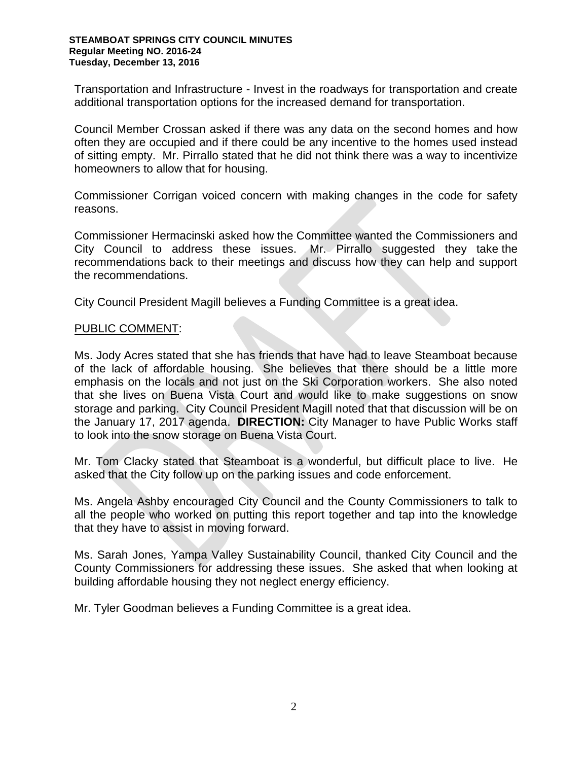Transportation and Infrastructure - Invest in the roadways for transportation and create additional transportation options for the increased demand for transportation.

Council Member Crossan asked if there was any data on the second homes and how often they are occupied and if there could be any incentive to the homes used instead of sitting empty. Mr. Pirrallo stated that he did not think there was a way to incentivize homeowners to allow that for housing.

Commissioner Corrigan voiced concern with making changes in the code for safety reasons.

Commissioner Hermacinski asked how the Committee wanted the Commissioners and City Council to address these issues. Mr. Pirrallo suggested they take the recommendations back to their meetings and discuss how they can help and support the recommendations.

City Council President Magill believes a Funding Committee is a great idea.

#### PUBLIC COMMENT:

Ms. Jody Acres stated that she has friends that have had to leave Steamboat because of the lack of affordable housing. She believes that there should be a little more emphasis on the locals and not just on the Ski Corporation workers. She also noted that she lives on Buena Vista Court and would like to make suggestions on snow storage and parking. City Council President Magill noted that that discussion will be on the January 17, 2017 agenda. **DIRECTION:** City Manager to have Public Works staff to look into the snow storage on Buena Vista Court.

Mr. Tom Clacky stated that Steamboat is a wonderful, but difficult place to live. He asked that the City follow up on the parking issues and code enforcement.

Ms. Angela Ashby encouraged City Council and the County Commissioners to talk to all the people who worked on putting this report together and tap into the knowledge that they have to assist in moving forward.

Ms. Sarah Jones, Yampa Valley Sustainability Council, thanked City Council and the County Commissioners for addressing these issues. She asked that when looking at building affordable housing they not neglect energy efficiency.

Mr. Tyler Goodman believes a Funding Committee is a great idea.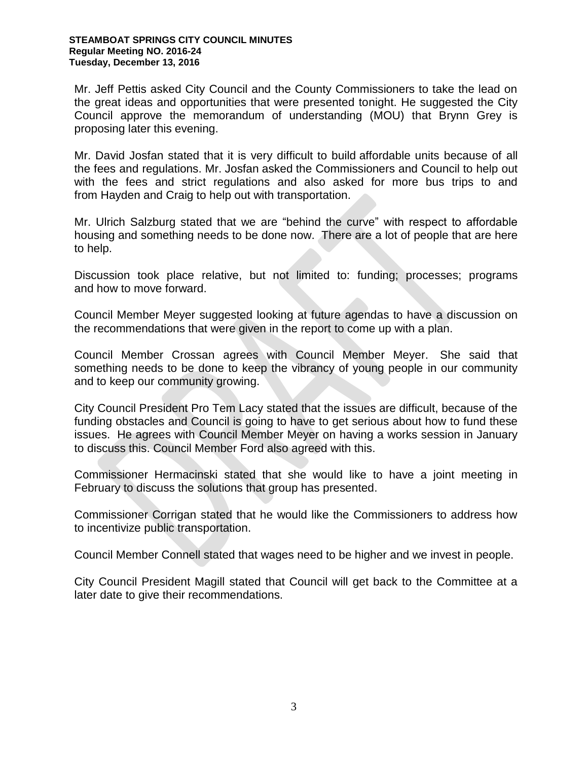Mr. Jeff Pettis asked City Council and the County Commissioners to take the lead on the great ideas and opportunities that were presented tonight. He suggested the City Council approve the memorandum of understanding (MOU) that Brynn Grey is proposing later this evening.

Mr. David Josfan stated that it is very difficult to build affordable units because of all the fees and regulations. Mr. Josfan asked the Commissioners and Council to help out with the fees and strict regulations and also asked for more bus trips to and from Hayden and Craig to help out with transportation.

Mr. Ulrich Salzburg stated that we are "behind the curve" with respect to affordable housing and something needs to be done now. There are a lot of people that are here to help.

Discussion took place relative, but not limited to: funding; processes; programs and how to move forward.

Council Member Meyer suggested looking at future agendas to have a discussion on the recommendations that were given in the report to come up with a plan.

Council Member Crossan agrees with Council Member Meyer. She said that something needs to be done to keep the vibrancy of young people in our community and to keep our community growing.

City Council President Pro Tem Lacy stated that the issues are difficult, because of the funding obstacles and Council is going to have to get serious about how to fund these issues. He agrees with Council Member Meyer on having a works session in January to discuss this. Council Member Ford also agreed with this.

Commissioner Hermacinski stated that she would like to have a joint meeting in February to discuss the solutions that group has presented.

Commissioner Corrigan stated that he would like the Commissioners to address how to incentivize public transportation.

Council Member Connell stated that wages need to be higher and we invest in people.

City Council President Magill stated that Council will get back to the Committee at a later date to give their recommendations.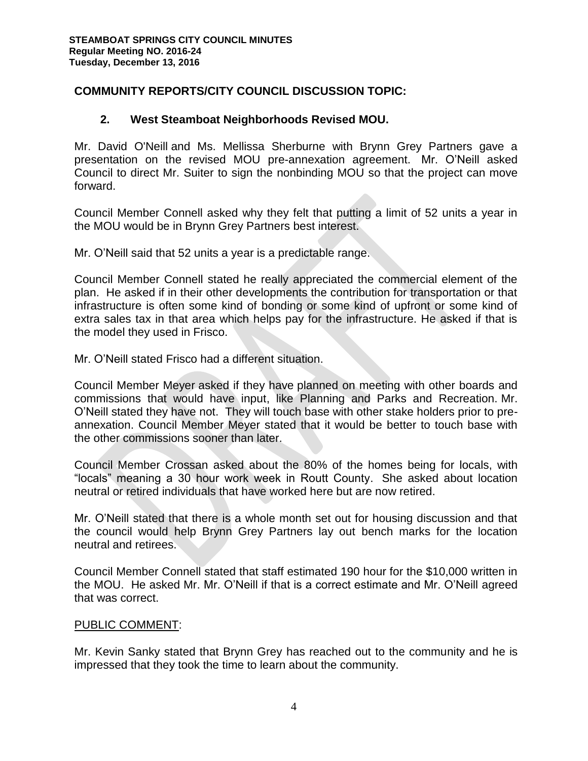# **COMMUNITY REPORTS/CITY COUNCIL DISCUSSION TOPIC:**

## **2. West Steamboat Neighborhoods Revised MOU.**

Mr. David O'Neill and Ms. Mellissa Sherburne with Brynn Grey Partners gave a presentation on the revised MOU pre-annexation agreement. Mr. O'Neill asked Council to direct Mr. Suiter to sign the nonbinding MOU so that the project can move forward.

Council Member Connell asked why they felt that putting a limit of 52 units a year in the MOU would be in Brynn Grey Partners best interest.

Mr. O'Neill said that 52 units a year is a predictable range.

Council Member Connell stated he really appreciated the commercial element of the plan. He asked if in their other developments the contribution for transportation or that infrastructure is often some kind of bonding or some kind of upfront or some kind of extra sales tax in that area which helps pay for the infrastructure. He asked if that is the model they used in Frisco.

Mr. O'Neill stated Frisco had a different situation.

Council Member Meyer asked if they have planned on meeting with other boards and commissions that would have input, like Planning and Parks and Recreation. Mr. O'Neill stated they have not. They will touch base with other stake holders prior to preannexation. Council Member Meyer stated that it would be better to touch base with the other commissions sooner than later.

Council Member Crossan asked about the 80% of the homes being for locals, with "locals" meaning a 30 hour work week in Routt County. She asked about location neutral or retired individuals that have worked here but are now retired.

Mr. O'Neill stated that there is a whole month set out for housing discussion and that the council would help Brynn Grey Partners lay out bench marks for the location neutral and retirees.

Council Member Connell stated that staff estimated 190 hour for the \$10,000 written in the MOU. He asked Mr. Mr. O'Neill if that is a correct estimate and Mr. O'Neill agreed that was correct.

## PUBLIC COMMENT:

Mr. Kevin Sanky stated that Brynn Grey has reached out to the community and he is impressed that they took the time to learn about the community.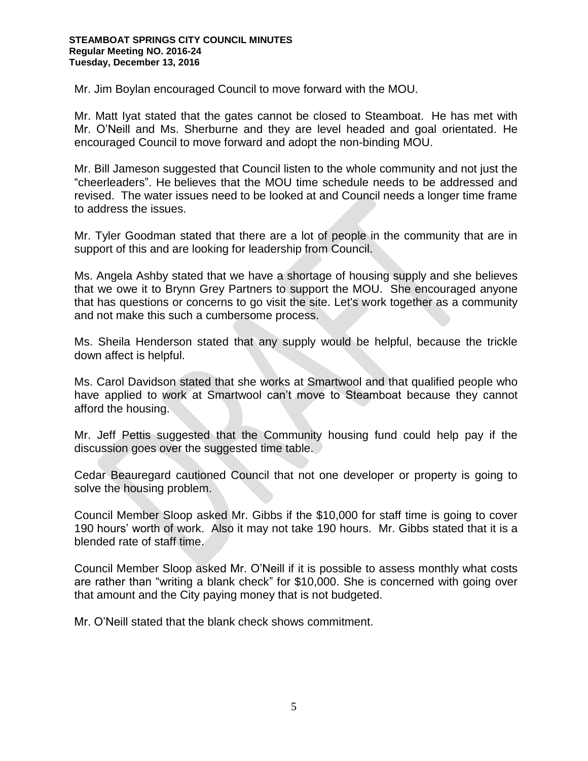Mr. Jim Boylan encouraged Council to move forward with the MOU.

Mr. Matt Iyat stated that the gates cannot be closed to Steamboat. He has met with Mr. O'Neill and Ms. Sherburne and they are level headed and goal orientated. He encouraged Council to move forward and adopt the non-binding MOU.

Mr. Bill Jameson suggested that Council listen to the whole community and not just the "cheerleaders". He believes that the MOU time schedule needs to be addressed and revised. The water issues need to be looked at and Council needs a longer time frame to address the issues.

Mr. Tyler Goodman stated that there are a lot of people in the community that are in support of this and are looking for leadership from Council.

Ms. Angela Ashby stated that we have a shortage of housing supply and she believes that we owe it to Brynn Grey Partners to support the MOU. She encouraged anyone that has questions or concerns to go visit the site. Let's work together as a community and not make this such a cumbersome process.

Ms. Sheila Henderson stated that any supply would be helpful, because the trickle down affect is helpful.

Ms. Carol Davidson stated that she works at Smartwool and that qualified people who have applied to work at Smartwool can't move to Steamboat because they cannot afford the housing.

Mr. Jeff Pettis suggested that the Community housing fund could help pay if the discussion goes over the suggested time table.

Cedar Beauregard cautioned Council that not one developer or property is going to solve the housing problem.

Council Member Sloop asked Mr. Gibbs if the \$10,000 for staff time is going to cover 190 hours' worth of work. Also it may not take 190 hours. Mr. Gibbs stated that it is a blended rate of staff time.

Council Member Sloop asked Mr. O'Neill if it is possible to assess monthly what costs are rather than "writing a blank check" for \$10,000. She is concerned with going over that amount and the City paying money that is not budgeted.

Mr. O'Neill stated that the blank check shows commitment.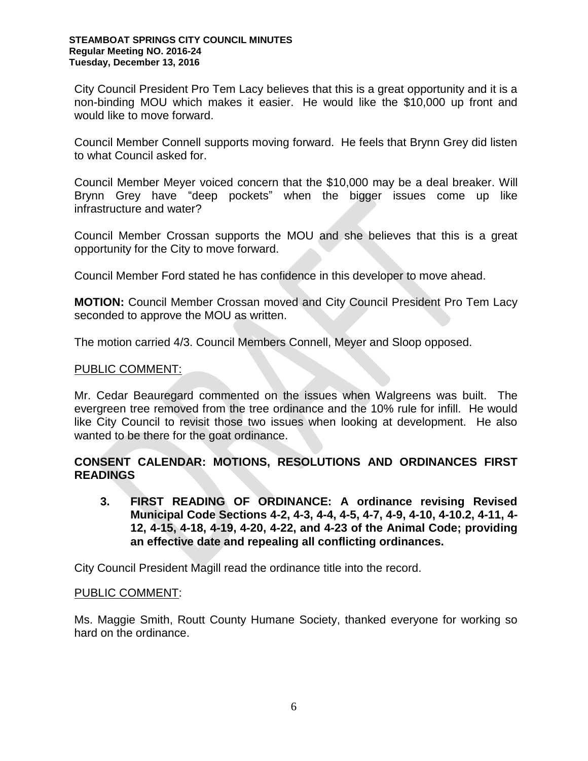City Council President Pro Tem Lacy believes that this is a great opportunity and it is a non-binding MOU which makes it easier. He would like the \$10,000 up front and would like to move forward.

Council Member Connell supports moving forward. He feels that Brynn Grey did listen to what Council asked for.

Council Member Meyer voiced concern that the \$10,000 may be a deal breaker. Will Brynn Grey have "deep pockets" when the bigger issues come up like infrastructure and water?

Council Member Crossan supports the MOU and she believes that this is a great opportunity for the City to move forward.

Council Member Ford stated he has confidence in this developer to move ahead.

**MOTION:** Council Member Crossan moved and City Council President Pro Tem Lacy seconded to approve the MOU as written.

The motion carried 4/3. Council Members Connell, Meyer and Sloop opposed.

#### PUBLIC COMMENT:

Mr. Cedar Beauregard commented on the issues when Walgreens was built. The evergreen tree removed from the tree ordinance and the 10% rule for infill. He would like City Council to revisit those two issues when looking at development. He also wanted to be there for the goat ordinance.

# **CONSENT CALENDAR: MOTIONS, RESOLUTIONS AND ORDINANCES FIRST READINGS**

**3. FIRST READING OF ORDINANCE: A ordinance revising Revised Municipal Code Sections 4-2, 4-3, 4-4, 4-5, 4-7, 4-9, 4-10, 4-10.2, 4-11, 4- 12, 4-15, 4-18, 4-19, 4-20, 4-22, and 4-23 of the Animal Code; providing an effective date and repealing all conflicting ordinances.** 

City Council President Magill read the ordinance title into the record.

#### PUBLIC COMMENT:

Ms. Maggie Smith, Routt County Humane Society, thanked everyone for working so hard on the ordinance.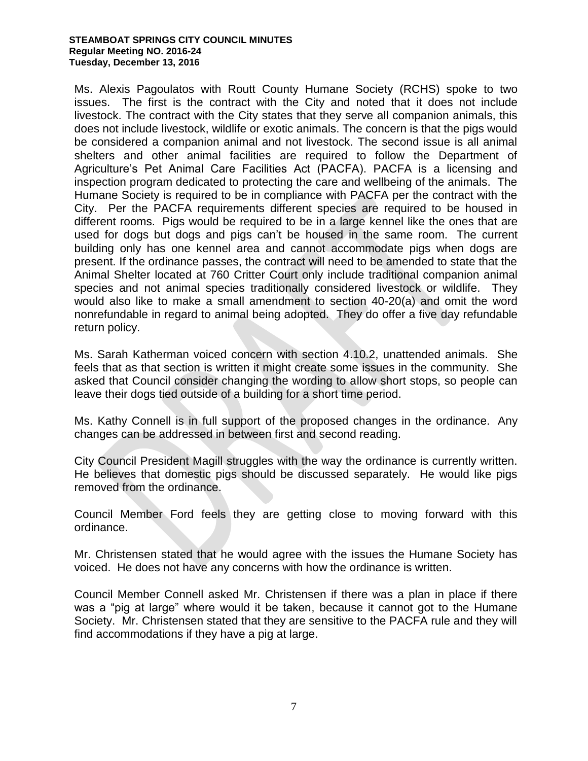#### **STEAMBOAT SPRINGS CITY COUNCIL MINUTES Regular Meeting NO. 2016-24 Tuesday, December 13, 2016**

Ms. Alexis Pagoulatos with Routt County Humane Society (RCHS) spoke to two issues. The first is the contract with the City and noted that it does not include livestock. The contract with the City states that they serve all companion animals, this does not include livestock, wildlife or exotic animals. The concern is that the pigs would be considered a companion animal and not livestock. The second issue is all animal shelters and other animal facilities are required to follow the Department of Agriculture's Pet Animal Care Facilities Act (PACFA). PACFA is a licensing and inspection program dedicated to protecting the care and wellbeing of the animals. The Humane Society is required to be in compliance with PACFA per the contract with the City. Per the PACFA requirements different species are required to be housed in different rooms. Pigs would be required to be in a large kennel like the ones that are used for dogs but dogs and pigs can't be housed in the same room. The current building only has one kennel area and cannot accommodate pigs when dogs are present. If the ordinance passes, the contract will need to be amended to state that the Animal Shelter located at 760 Critter Court only include traditional companion animal species and not animal species traditionally considered livestock or wildlife. They would also like to make a small amendment to section 40-20(a) and omit the word nonrefundable in regard to animal being adopted. They do offer a five day refundable return policy.

Ms. Sarah Katherman voiced concern with section 4.10.2, unattended animals. She feels that as that section is written it might create some issues in the community. She asked that Council consider changing the wording to allow short stops, so people can leave their dogs tied outside of a building for a short time period.

Ms. Kathy Connell is in full support of the proposed changes in the ordinance. Any changes can be addressed in between first and second reading.

City Council President Magill struggles with the way the ordinance is currently written. He believes that domestic pigs should be discussed separately. He would like pigs removed from the ordinance.

Council Member Ford feels they are getting close to moving forward with this ordinance.

Mr. Christensen stated that he would agree with the issues the Humane Society has voiced. He does not have any concerns with how the ordinance is written.

Council Member Connell asked Mr. Christensen if there was a plan in place if there was a "pig at large" where would it be taken, because it cannot got to the Humane Society. Mr. Christensen stated that they are sensitive to the PACFA rule and they will find accommodations if they have a pig at large.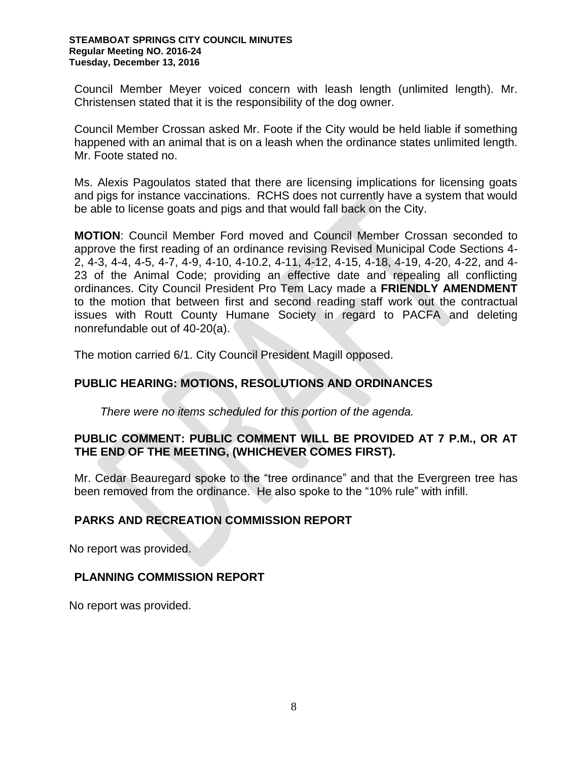#### **STEAMBOAT SPRINGS CITY COUNCIL MINUTES Regular Meeting NO. 2016-24 Tuesday, December 13, 2016**

Council Member Meyer voiced concern with leash length (unlimited length). Mr. Christensen stated that it is the responsibility of the dog owner.

Council Member Crossan asked Mr. Foote if the City would be held liable if something happened with an animal that is on a leash when the ordinance states unlimited length. Mr. Foote stated no.

Ms. Alexis Pagoulatos stated that there are licensing implications for licensing goats and pigs for instance vaccinations. RCHS does not currently have a system that would be able to license goats and pigs and that would fall back on the City.

**MOTION**: Council Member Ford moved and Council Member Crossan seconded to approve the first reading of an ordinance revising Revised Municipal Code Sections 4- 2, 4-3, 4-4, 4-5, 4-7, 4-9, 4-10, 4-10.2, 4-11, 4-12, 4-15, 4-18, 4-19, 4-20, 4-22, and 4- 23 of the Animal Code; providing an effective date and repealing all conflicting ordinances. City Council President Pro Tem Lacy made a **FRIENDLY AMENDMENT** to the motion that between first and second reading staff work out the contractual issues with Routt County Humane Society in regard to PACFA and deleting nonrefundable out of 40-20(a).

The motion carried 6/1. City Council President Magill opposed.

## **PUBLIC HEARING: MOTIONS, RESOLUTIONS AND ORDINANCES**

*There were no items scheduled for this portion of the agenda.*

## **PUBLIC COMMENT: PUBLIC COMMENT WILL BE PROVIDED AT 7 P.M., OR AT THE END OF THE MEETING, (WHICHEVER COMES FIRST).**

Mr. Cedar Beauregard spoke to the "tree ordinance" and that the Evergreen tree has been removed from the ordinance. He also spoke to the "10% rule" with infill.

## **PARKS AND RECREATION COMMISSION REPORT**

No report was provided.

#### **PLANNING COMMISSION REPORT**

No report was provided.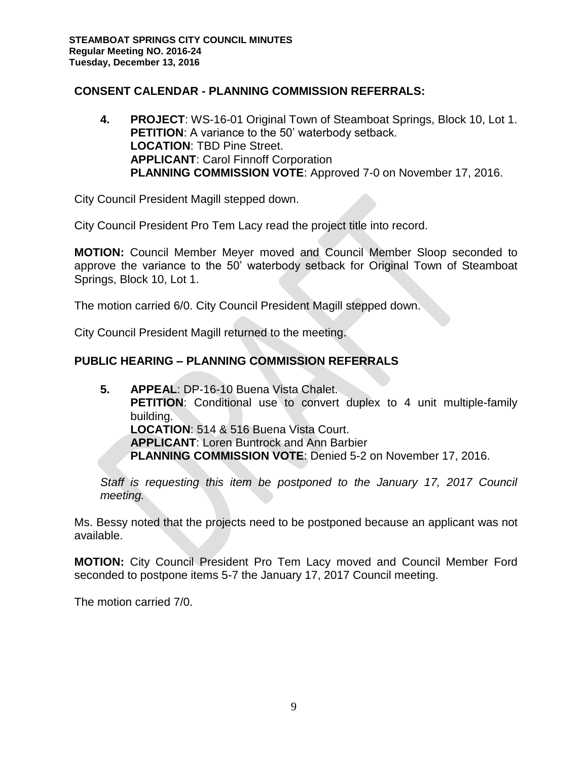# **CONSENT CALENDAR - PLANNING COMMISSION REFERRALS:**

**4. PROJECT**: WS-16-01 Original Town of Steamboat Springs, Block 10, Lot 1. **PETITION:** A variance to the 50' waterbody setback. **LOCATION**: TBD Pine Street. **APPLICANT**: Carol Finnoff Corporation **PLANNING COMMISSION VOTE**: Approved 7-0 on November 17, 2016.

City Council President Magill stepped down.

City Council President Pro Tem Lacy read the project title into record.

**MOTION:** Council Member Meyer moved and Council Member Sloop seconded to approve the variance to the 50' waterbody setback for Original Town of Steamboat Springs, Block 10, Lot 1.

The motion carried 6/0. City Council President Magill stepped down.

City Council President Magill returned to the meeting.

# **PUBLIC HEARING – PLANNING COMMISSION REFERRALS**

**5. APPEAL**: DP-16-10 Buena Vista Chalet. **PETITION:** Conditional use to convert duplex to 4 unit multiple-family building. **LOCATION**: 514 & 516 Buena Vista Court. **APPLICANT**: Loren Buntrock and Ann Barbier **PLANNING COMMISSION VOTE**: Denied 5-2 on November 17, 2016.

*Staff is requesting this item be postponed to the January 17, 2017 Council meeting.*

Ms. Bessy noted that the projects need to be postponed because an applicant was not available.

**MOTION:** City Council President Pro Tem Lacy moved and Council Member Ford seconded to postpone items 5-7 the January 17, 2017 Council meeting.

The motion carried 7/0.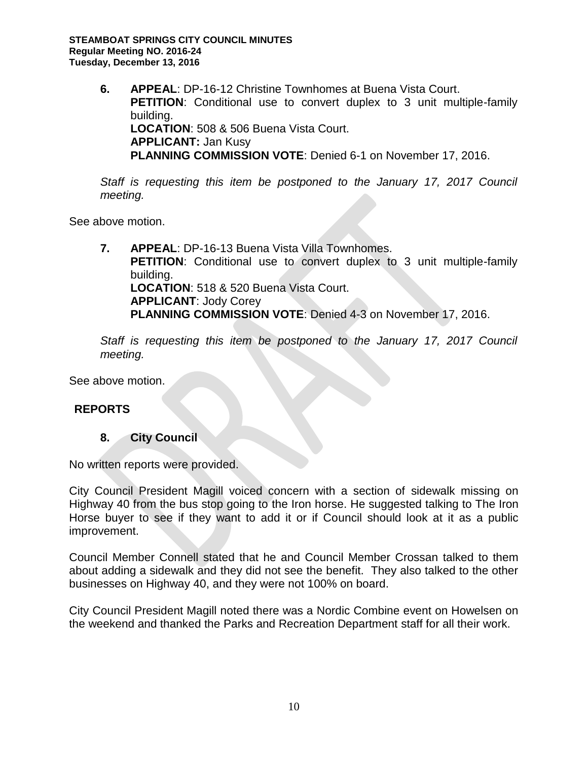**6. APPEAL**: DP-16-12 Christine Townhomes at Buena Vista Court. **PETITION**: Conditional use to convert duplex to 3 unit multiple-family building. **LOCATION**: 508 & 506 Buena Vista Court. **APPLICANT:** Jan Kusy **PLANNING COMMISSION VOTE**: Denied 6-1 on November 17, 2016.

*Staff is requesting this item be postponed to the January 17, 2017 Council meeting.*

See above motion.

**7. APPEAL**: DP-16-13 Buena Vista Villa Townhomes. **PETITION**: Conditional use to convert duplex to 3 unit multiple-family building. **LOCATION**: 518 & 520 Buena Vista Court. **APPLICANT**: Jody Corey **PLANNING COMMISSION VOTE**: Denied 4-3 on November 17, 2016.

*Staff is requesting this item be postponed to the January 17, 2017 Council meeting.*

See above motion.

## **REPORTS**

#### **8. City Council**

No written reports were provided.

City Council President Magill voiced concern with a section of sidewalk missing on Highway 40 from the bus stop going to the Iron horse. He suggested talking to The Iron Horse buyer to see if they want to add it or if Council should look at it as a public improvement.

Council Member Connell stated that he and Council Member Crossan talked to them about adding a sidewalk and they did not see the benefit. They also talked to the other businesses on Highway 40, and they were not 100% on board.

City Council President Magill noted there was a Nordic Combine event on Howelsen on the weekend and thanked the Parks and Recreation Department staff for all their work.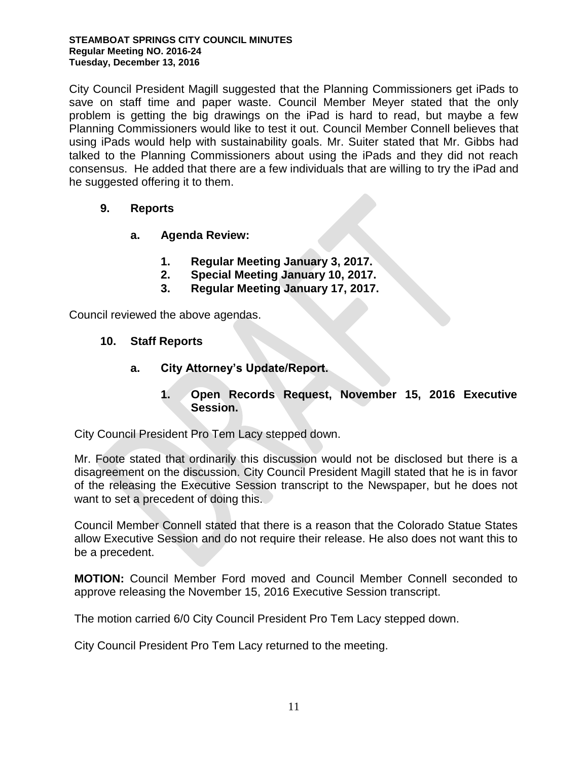#### **STEAMBOAT SPRINGS CITY COUNCIL MINUTES Regular Meeting NO. 2016-24 Tuesday, December 13, 2016**

City Council President Magill suggested that the Planning Commissioners get iPads to save on staff time and paper waste. Council Member Meyer stated that the only problem is getting the big drawings on the iPad is hard to read, but maybe a few Planning Commissioners would like to test it out. Council Member Connell believes that using iPads would help with sustainability goals. Mr. Suiter stated that Mr. Gibbs had talked to the Planning Commissioners about using the iPads and they did not reach consensus. He added that there are a few individuals that are willing to try the iPad and he suggested offering it to them.

# **9. Reports**

- **a. Agenda Review:** 
	- **1. Regular Meeting January 3, 2017.**
	- **2. Special Meeting January 10, 2017.**
	- **3. Regular Meeting January 17, 2017.**

Council reviewed the above agendas.

## **10. Staff Reports**

**a. City Attorney's Update/Report.** 

## **1. Open Records Request, November 15, 2016 Executive Session.**

City Council President Pro Tem Lacy stepped down.

Mr. Foote stated that ordinarily this discussion would not be disclosed but there is a disagreement on the discussion. City Council President Magill stated that he is in favor of the releasing the Executive Session transcript to the Newspaper, but he does not want to set a precedent of doing this.

Council Member Connell stated that there is a reason that the Colorado Statue States allow Executive Session and do not require their release. He also does not want this to be a precedent.

**MOTION:** Council Member Ford moved and Council Member Connell seconded to approve releasing the November 15, 2016 Executive Session transcript.

The motion carried 6/0 City Council President Pro Tem Lacy stepped down.

City Council President Pro Tem Lacy returned to the meeting.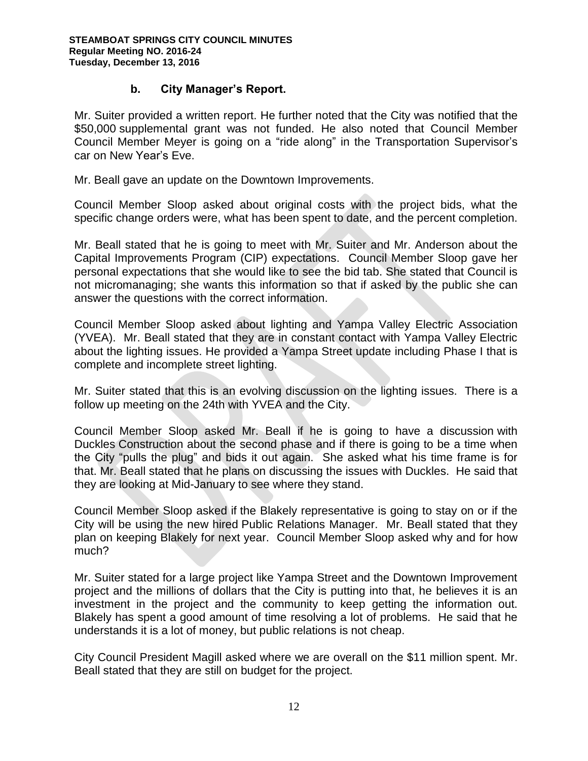# **b. City Manager's Report.**

Mr. Suiter provided a written report. He further noted that the City was notified that the \$50,000 supplemental grant was not funded. He also noted that Council Member Council Member Meyer is going on a "ride along" in the Transportation Supervisor's car on New Year's Eve.

Mr. Beall gave an update on the Downtown Improvements.

Council Member Sloop asked about original costs with the project bids, what the specific change orders were, what has been spent to date, and the percent completion.

Mr. Beall stated that he is going to meet with Mr. Suiter and Mr. Anderson about the Capital Improvements Program (CIP) expectations. Council Member Sloop gave her personal expectations that she would like to see the bid tab. She stated that Council is not micromanaging; she wants this information so that if asked by the public she can answer the questions with the correct information.

Council Member Sloop asked about lighting and Yampa Valley Electric Association (YVEA). Mr. Beall stated that they are in constant contact with Yampa Valley Electric about the lighting issues. He provided a Yampa Street update including Phase I that is complete and incomplete street lighting.

Mr. Suiter stated that this is an evolving discussion on the lighting issues. There is a follow up meeting on the 24th with YVEA and the City.

Council Member Sloop asked Mr. Beall if he is going to have a discussion with Duckles Construction about the second phase and if there is going to be a time when the City "pulls the plug" and bids it out again. She asked what his time frame is for that. Mr. Beall stated that he plans on discussing the issues with Duckles. He said that they are looking at Mid-January to see where they stand.

Council Member Sloop asked if the Blakely representative is going to stay on or if the City will be using the new hired Public Relations Manager. Mr. Beall stated that they plan on keeping Blakely for next year. Council Member Sloop asked why and for how much?

Mr. Suiter stated for a large project like Yampa Street and the Downtown Improvement project and the millions of dollars that the City is putting into that, he believes it is an investment in the project and the community to keep getting the information out. Blakely has spent a good amount of time resolving a lot of problems. He said that he understands it is a lot of money, but public relations is not cheap.

City Council President Magill asked where we are overall on the \$11 million spent. Mr. Beall stated that they are still on budget for the project.